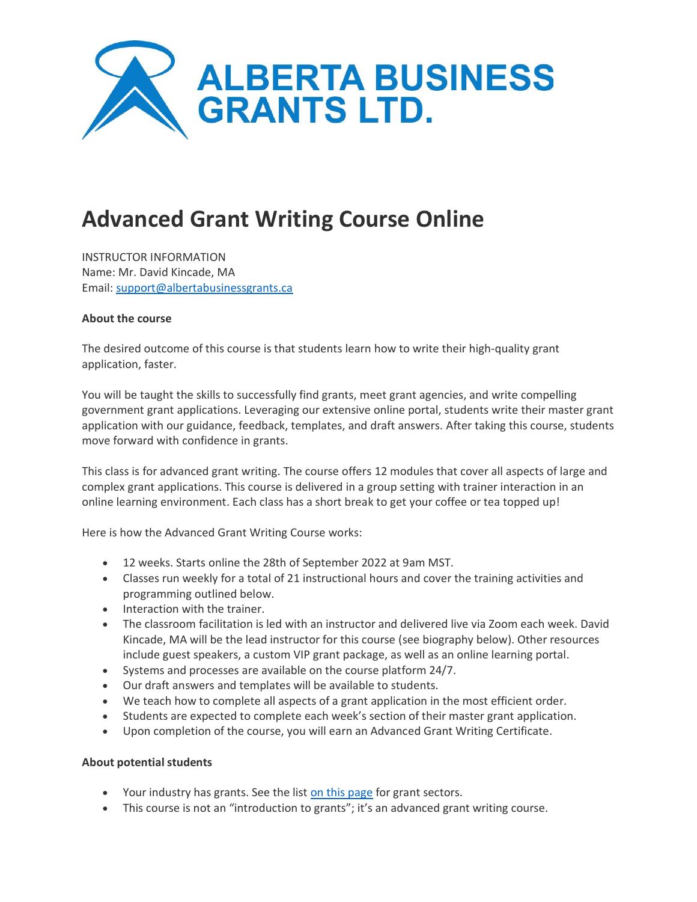

# **Advanced Grant Writing Course Online**

INSTRUCTOR INFORMATION Name: Mr. David Kincade, MA Email: [support@albertabusinessgrants.ca](mailto:support@albertabusinessgrants.ca)

## **About the course**

The desired outcome of this course is that students learn how to write their high-quality grant application, faster.

You will be taught the skills to successfully find grants, meet grant agencies, and write compelling government grant applications. Leveraging our extensive online portal, students write their master grant application with our guidance, feedback, templates, and draft answers. After taking this course, students move forward with confidence in grants.

This class is for advanced grant writing. The course offers 12 modules that cover all aspects of large and complex grant applications. This course is delivered in a group setting with trainer interaction in an online learning environment. Each class has a short break to get your coffee or tea topped up!

Here is how the Advanced Grant Writing Course works:

- 12 weeks. Starts online the 28th of September 2022 at 9am MST.
- Classes run weekly for a total of 21 instructional hours and cover the training activities and programming outlined below.
- Interaction with the trainer.
- The classroom facilitation is led with an instructor and delivered live via Zoom each week. David Kincade, MA will be the lead instructor for this course (see biography below). Other resources include guest speakers, a custom VIP grant package, as well as an online learning portal.
- Systems and processes are available on the course platform 24/7.
- Our draft answers and templates will be available to students.
- We teach how to complete all aspects of a grant application in the most efficient order.
- Students are expected to complete each week's section of their master grant application.
- Upon completion of the course, you will earn an Advanced Grant Writing Certificate.

# **About potential students**

- Your industry has grants. See the list [on this page](https://albertabusinessgrants.ca/how-it-works/) for grant sectors.
- This course is not an "introduction to grants"; it's an advanced grant writing course.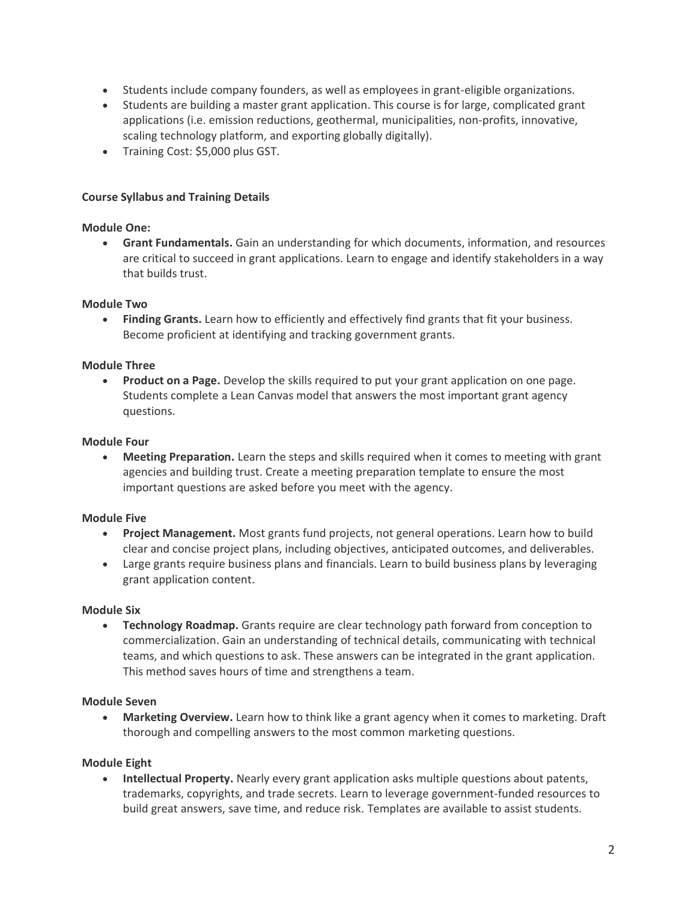- Students include company founders, as well as employees in grant-eligible organizations.
- Students are building a master grant application. This course is for large, complicated grant applications (i.e. emission reductions, geothermal, municipalities, non-profits, innovative, scaling technology platform, and exporting globally digitally).
- Training Cost: \$5,000 plus GST.

# **Course Syllabus and Training Details**

# **Module One:**

• **Grant Fundamentals.** Gain an understanding for which documents, information, and resources are critical to succeed in grant applications. Learn to engage and identify stakeholders in a way that builds trust.

# **Module Two**

• **Finding Grants.** Learn how to efficiently and effectively find grants that fit your business. Become proficient at identifying and tracking government grants.

# **Module Three**

• **Product on a Page.** Develop the skills required to put your grant application on one page. Students complete a Lean Canvas model that answers the most important grant agency questions.

## **Module Four**

• **Meeting Preparation.** Learn the steps and skills required when it comes to meeting with grant agencies and building trust. Create a meeting preparation template to ensure the most important questions are asked before you meet with the agency.

# **Module Five**

- **Project Management.** Most grants fund projects, not general operations. Learn how to build clear and concise project plans, including objectives, anticipated outcomes, and deliverables.
- Large grants require business plans and financials. Learn to build business plans by leveraging grant application content.

# **Module Six**

• **Technology Roadmap.** Grants require are clear technology path forward from conception to commercialization. Gain an understanding of technical details, communicating with technical teams, and which questions to ask. These answers can be integrated in the grant application. This method saves hours of time and strengthens a team.

#### **Module Seven**

• **Marketing Overview.** Learn how to think like a grant agency when it comes to marketing. Draft thorough and compelling answers to the most common marketing questions.

# **Module Eight**

• **Intellectual Property.** Nearly every grant application asks multiple questions about patents, trademarks, copyrights, and trade secrets. Learn to leverage government-funded resources to build great answers, save time, and reduce risk. Templates are available to assist students.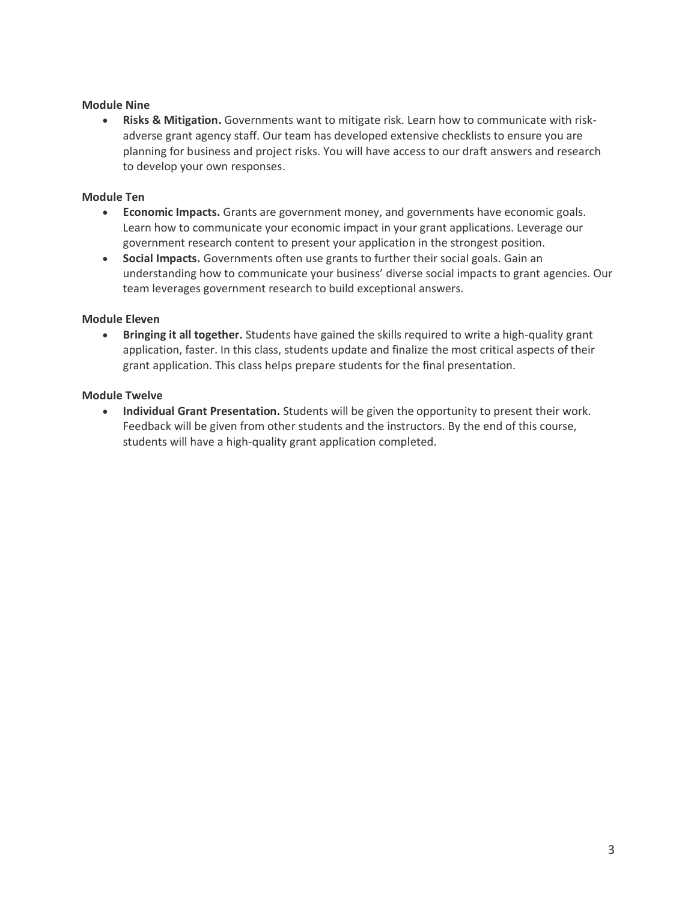# **Module Nine**

• **Risks & Mitigation.** Governments want to mitigate risk. Learn how to communicate with riskadverse grant agency staff. Our team has developed extensive checklists to ensure you are planning for business and project risks. You will have access to our draft answers and research to develop your own responses.

# **Module Ten**

- **Economic Impacts.** Grants are government money, and governments have economic goals. Learn how to communicate your economic impact in your grant applications. Leverage our government research content to present your application in the strongest position.
- **Social Impacts.** Governments often use grants to further their social goals. Gain an understanding how to communicate your business' diverse social impacts to grant agencies. Our team leverages government research to build exceptional answers.

# **Module Eleven**

• **Bringing it all together.** Students have gained the skills required to write a high-quality grant application, faster. In this class, students update and finalize the most critical aspects of their grant application. This class helps prepare students for the final presentation.

# **Module Twelve**

• **Individual Grant Presentation.** Students will be given the opportunity to present their work. Feedback will be given from other students and the instructors. By the end of this course, students will have a high-quality grant application completed.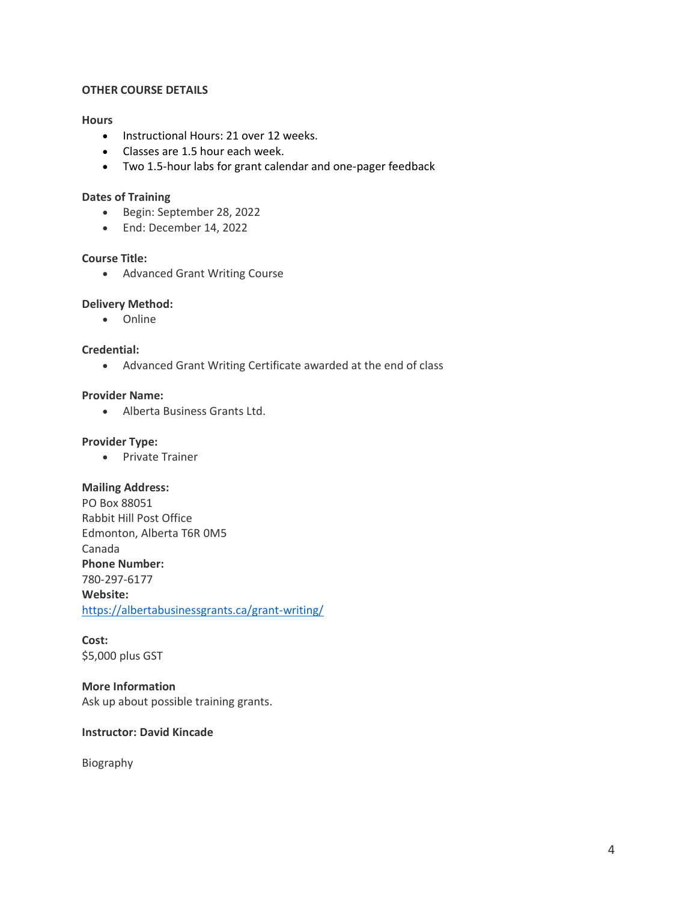## **OTHER COURSE DETAILS**

### **Hours**

- Instructional Hours: 21 over 12 weeks.
- Classes are 1.5 hour each week.
- Two 1.5-hour labs for grant calendar and one-pager feedback

### **Dates of Training**

- Begin: September 28, 2022
- End: December 14, 2022

# **Course Title:**

• Advanced Grant Writing Course

## **Delivery Method:**

• Online

## **Credential:**

• Advanced Grant Writing Certificate awarded at the end of class

# **Provider Name:**

• Alberta Business Grants Ltd.

## **Provider Type:**

• Private Trainer

#### **Mailing Address:**

PO Box 88051 Rabbit Hill Post Office Edmonton, Alberta T6R 0M5 Canada **Phone Number:** 780-297-6177 **Website:** <https://albertabusinessgrants.ca/grant-writing/>

**Cost:** \$5,000 plus GST

**More Information** Ask up about possible training grants.

## **Instructor: David Kincade**

Biography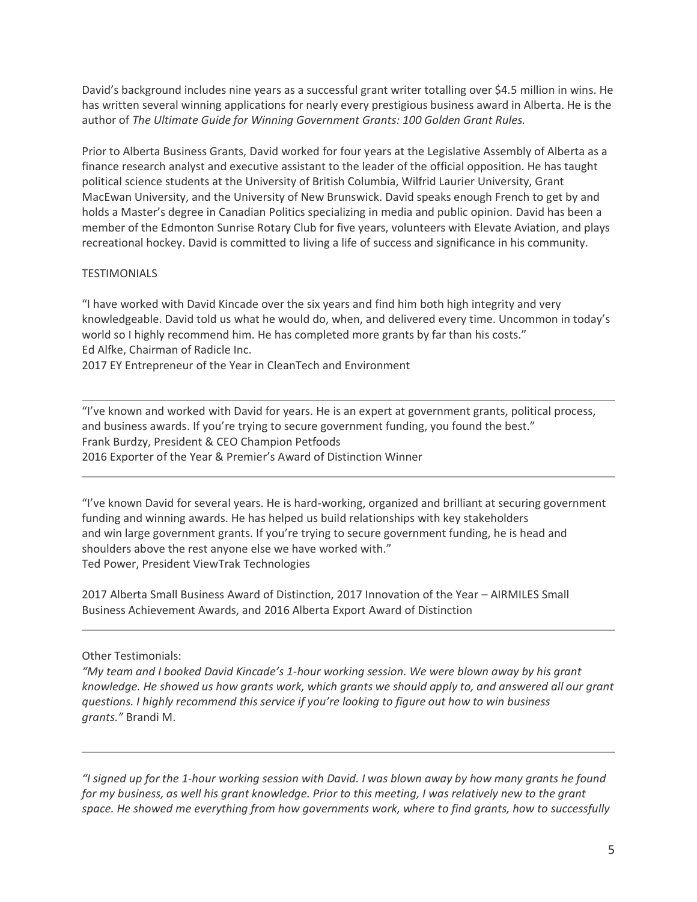David's background includes nine years as a successful grant writer totalling over \$4.5 million in wins. He has written several winning applications for nearly every prestigious business award in Alberta. He is the author of *The Ultimate Guide for Winning Government Grants: 100 Golden Grant Rules.*

Prior to Alberta Business Grants, David worked for four years at the Legislative Assembly of Alberta as a finance research analyst and executive assistant to the leader of the official opposition. He has taught political science students at the University of British Columbia, Wilfrid Laurier University, Grant MacEwan University, and the University of New Brunswick. David speaks enough French to get by and holds a Master's degree in Canadian Politics specializing in media and public opinion. David has been a member of the Edmonton Sunrise Rotary Club for five years, volunteers with Elevate Aviation, and plays recreational hockey. David is committed to living a life of success and significance in his community.

# **TESTIMONIALS**

"I have worked with David Kincade over the six years and find him both high integrity and very knowledgeable. David told us what he would do, when, and delivered every time. Uncommon in today's world so I highly recommend him. He has completed more grants by far than his costs." Ed Alfke, Chairman of Radicle Inc.

2017 EY Entrepreneur of the Year in CleanTech and Environment

"I've known and worked with David for years. He is an expert at government grants, political process, and business awards. If you're trying to secure government funding, you found the best." Frank Burdzy, President & CEO Champion Petfoods 2016 Exporter of the Year & Premier's Award of Distinction Winner

"I've known David for several years. He is hard-working, organized and brilliant at securing government funding and winning awards. He has helped us build relationships with key stakeholders and win large government grants. If you're trying to secure government funding, he is head and shoulders above the rest anyone else we have worked with." Ted Power, President ViewTrak Technologies

2017 Alberta Small Business Award of Distinction, 2017 Innovation of the Year – AIRMILES Small Business Achievement Awards, and 2016 Alberta Export Award of Distinction

Other Testimonials:

*"My team and I booked David Kincade's 1-hour working session. We were blown away by his grant knowledge. He showed us how grants work, which grants we should apply to, and answered all our grant questions. I highly recommend this service if you're looking to figure out how to win business grants."* Brandi M.

*"I signed up for the 1-hour working session with David. I was blown away by how many grants he found for my business, as well his grant knowledge. Prior to this meeting, I was relatively new to the grant space. He showed me everything from how governments work, where to find grants, how to successfully*